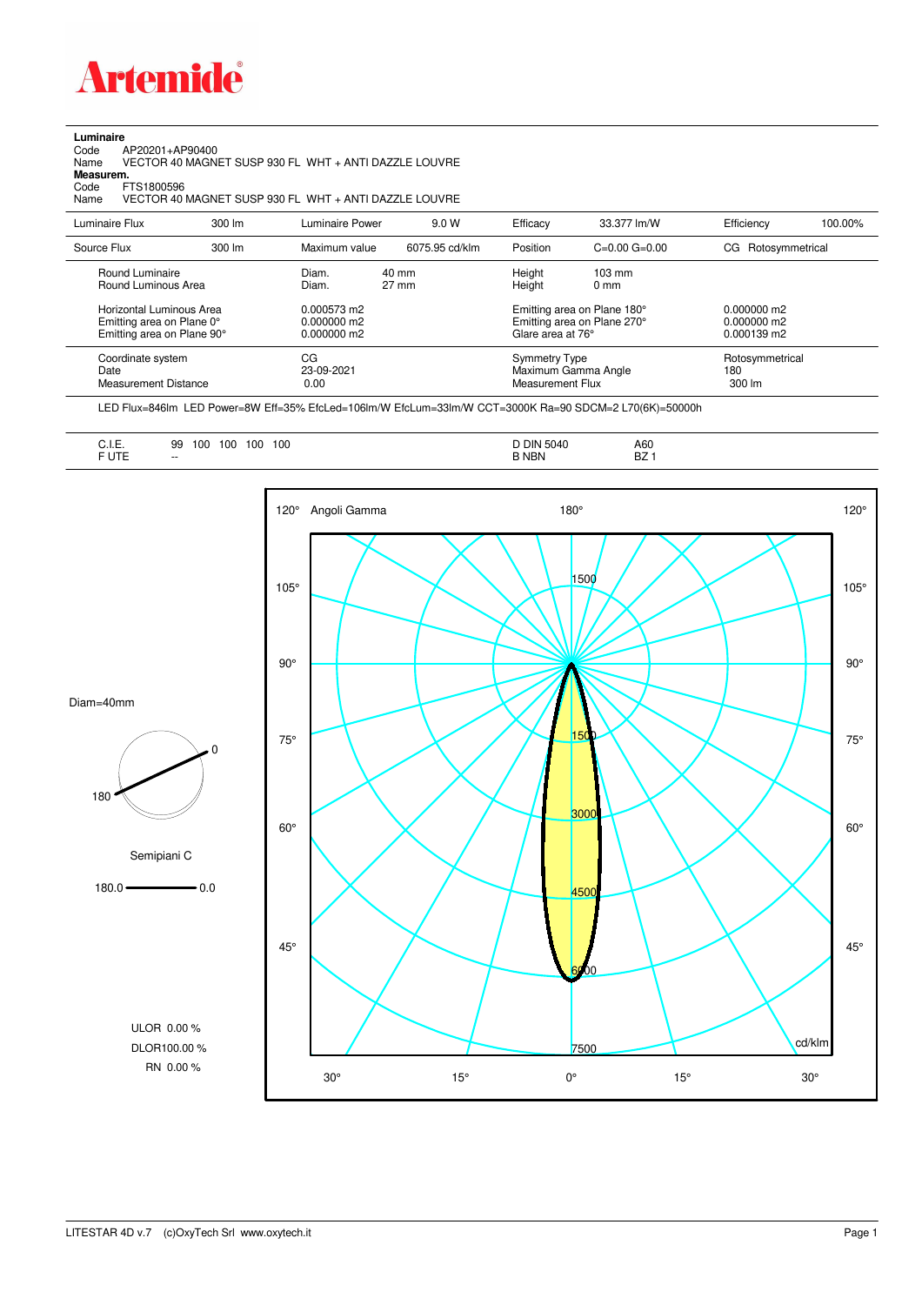

## **Luminaire**

Code AP20201+AP90400 Name VECTOR 40 MAGNET SUSP 930 FL WHT + ANTI DAZZLE LOUVRE Code A<br>Name V<br>**Measurem.** 

Code FTS1800596<br>Name VECTOR 40 Name VECTOR 40 MAGNET SUSP 930 FL WHT + ANTI DAZZLE LOUVRE

| Luminaire Flux                                                                                                                | $300 \, \text{Im}$ | Luminaire Power                                                 | 9.0 W                    | Efficacy                                 | 33.377 lm/W                                                                                                           | Efficiency                                      | 100.00% |
|-------------------------------------------------------------------------------------------------------------------------------|--------------------|-----------------------------------------------------------------|--------------------------|------------------------------------------|-----------------------------------------------------------------------------------------------------------------------|-------------------------------------------------|---------|
| Source Flux                                                                                                                   | $300 \, \text{Im}$ | Maximum value                                                   | 6075.95 cd/klm           | Position                                 | $C=0.00$ $G=0.00$                                                                                                     | CG Rotosymmetrical                              |         |
| Round Luminaire<br>Round Luminous Area<br>Horizontal Luminous Area<br>Emitting area on Plane 0°<br>Emitting area on Plane 90° |                    | Diam.<br>Diam.<br>0.000573 m2<br>$0.000000$ m2<br>$0.000000$ m2 | 40 mm<br>$27 \text{ mm}$ |                                          | $103 \text{ mm}$<br>$0 \text{ mm}$<br>Emitting area on Plane 180°<br>Emitting area on Plane 270°<br>Glare area at 76° | $0.000000$ m2<br>$0.000000$ m2<br>$0.000139$ m2 |         |
| Coordinate system<br>Date<br>Measurement Distance                                                                             |                    | CG<br>23-09-2021<br>0.00                                        |                          | <b>Symmetry Type</b><br>Measurement Flux | Maximum Gamma Angle                                                                                                   | Rotosymmetrical<br>180<br>$300 \, \text{Im}$    |         |

LED Flux=846lm LED Power=8W Eff=35% EfcLed=106lm/W EfcLum=33lm/W CCT=3000K Ra=90 SDCM=2 L70(6K)=50000h